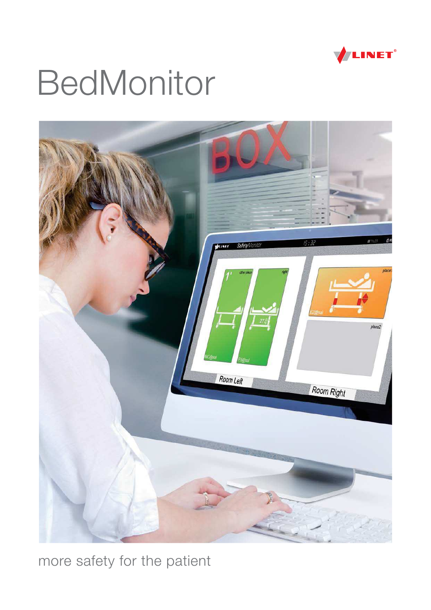

# **BedMonitor**



more safety for the patient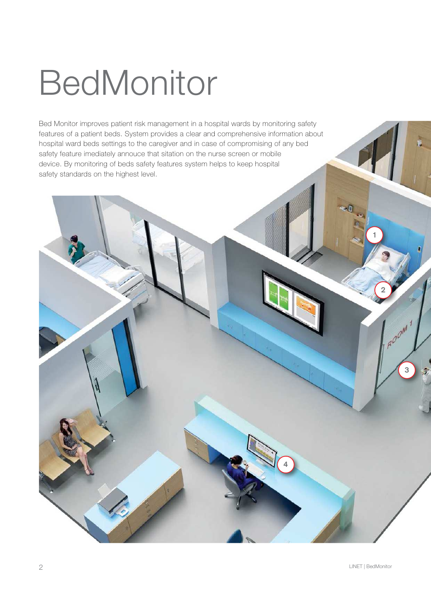# **BedMonitor**

Bed Monitor improves patient risk management in a hospital wards by monitoring safety features of a patient beds. System provides a clear and comprehensive information about hospital ward beds settings to the caregiver and in case of compromising of any bed safety feature imediately annouce that sitation on the nurse screen or mobile device. By monitoring of beds safety features system helps to keep hospital safety standards on the highest level.

4

1

2

3

AOOM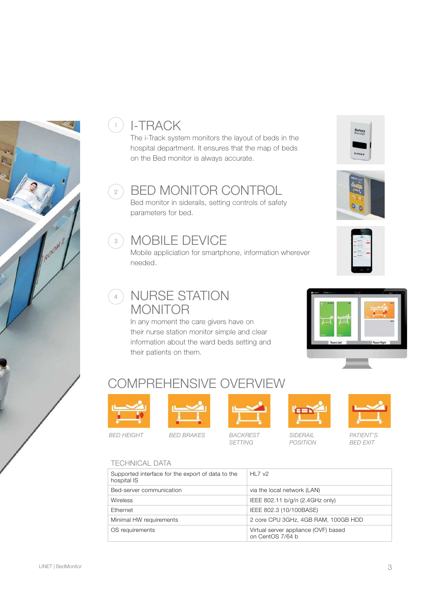

### <sup>1</sup>) I-TRACK

The i-Track system monitors the layout of beds in the hospital department. It ensures that the map of beds on the Bed monitor is always accurate.

#### 2) BED MONITOR CONTROL

Bed monitor in siderails, setting controls of safety parameters for bed.

#### **3) MOBILE DEVICE**

Mobile appliciation for smartphone, information wherever needed.

#### 4) NURSE STATION MONITOR

In any moment the care givers have on their nurse station monitor simple and clear information about the ward beds setting and their patients on them.









### COMPREHENSIVE OVERVIEW





BED HEIGHT BED BRAKES BACKREST



SETTING



SIDERAIL POSITION



PATIENT'S BED EXIT

#### TECHNICAL DATA

| Supported interface for the export of data to the<br>hospital IS | HL7v2                                                    |
|------------------------------------------------------------------|----------------------------------------------------------|
| Bed-server communication                                         | via the local network (LAN)                              |
| <b>Wireless</b>                                                  | IEEE 802.11 b/g/n (2.4GHz only)                          |
| Ethernet                                                         | IEEE 802.3 (10/100BASE)                                  |
| Minimal HW requirements                                          | 2 core CPU 3GHz, 4GB RAM, 100GB HDD                      |
| OS requirements                                                  | Virtual server appliance (OVF) based<br>on CentOS 7/64 b |